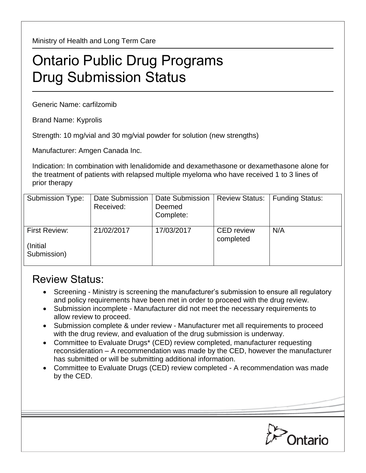Ministry of Health and Long Term Care

## Ontario Public Drug Programs Drug Submission Status

Generic Name: carfilzomib

Brand Name: Kyprolis

Strength: 10 mg/vial and 30 mg/vial powder for solution (new strengths)

Manufacturer: Amgen Canada Inc.

Indication: In combination with lenalidomide and dexamethasone or dexamethasone alone for the treatment of patients with relapsed multiple myeloma who have received 1 to 3 lines of prior therapy

| Submission Type:                          | Date Submission<br>Received: | Date Submission<br>Deemed<br>Complete: | <b>Review Status:</b>          | <b>Funding Status:</b> |
|-------------------------------------------|------------------------------|----------------------------------------|--------------------------------|------------------------|
| First Review:<br>(Initial)<br>Submission) | 21/02/2017                   | 17/03/2017                             | <b>CED</b> review<br>completed | N/A                    |

## Review Status:

- Screening Ministry is screening the manufacturer's submission to ensure all regulatory and policy requirements have been met in order to proceed with the drug review.
- Submission incomplete Manufacturer did not meet the necessary requirements to allow review to proceed.
- Submission complete & under review Manufacturer met all requirements to proceed with the drug review, and evaluation of the drug submission is underway.
- Committee to Evaluate Drugs\* (CED) review completed, manufacturer requesting reconsideration – A recommendation was made by the CED, however the manufacturer has submitted or will be submitting additional information.
- Committee to Evaluate Drugs (CED) review completed A recommendation was made by the CED.